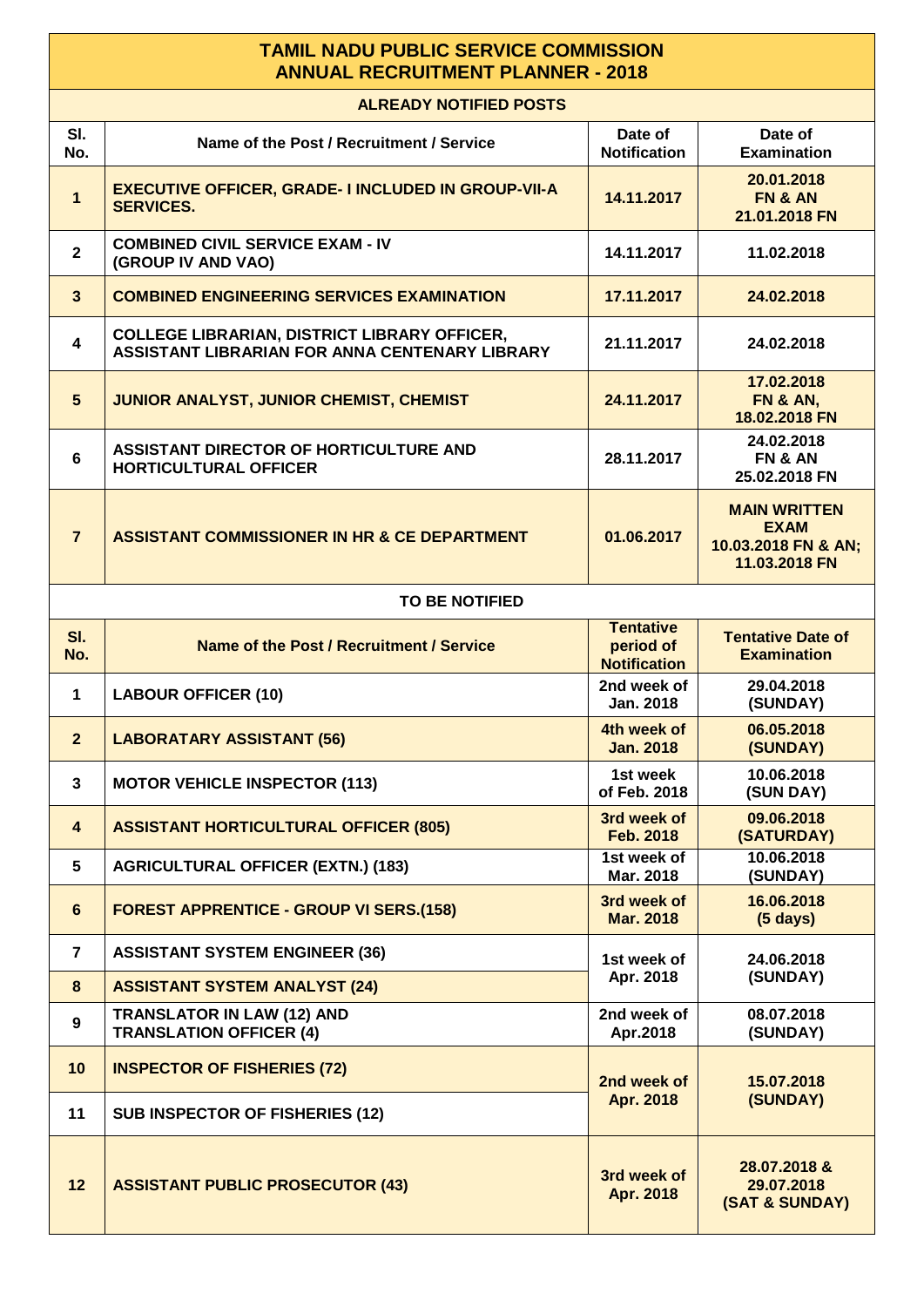## **TAMIL NADU PUBLIC SERVICE COMMISSION ANNUAL RECRUITMENT PLANNER - 2018**

| <b>ALREADY NOTIFIED POSTS</b> |                                                                                                       |                                                      |                                                                            |  |  |
|-------------------------------|-------------------------------------------------------------------------------------------------------|------------------------------------------------------|----------------------------------------------------------------------------|--|--|
| SI.<br>No.                    | Name of the Post / Recruitment / Service                                                              | Date of<br><b>Notification</b>                       | Date of<br><b>Examination</b>                                              |  |  |
| $\mathbf{1}$                  | <b>EXECUTIVE OFFICER, GRADE- I INCLUDED IN GROUP-VII-A</b><br><b>SERVICES.</b>                        | 14.11.2017                                           | 20.01.2018<br>FN & AN<br>21.01.2018 FN                                     |  |  |
| $\mathbf{2}$                  | <b>COMBINED CIVIL SERVICE EXAM - IV</b><br>(GROUP IV AND VAO)                                         | 14.11.2017                                           | 11.02.2018                                                                 |  |  |
| $\mathbf{3}$                  | <b>COMBINED ENGINEERING SERVICES EXAMINATION</b>                                                      | 17.11.2017                                           | 24.02.2018                                                                 |  |  |
| 4                             | <b>COLLEGE LIBRARIAN, DISTRICT LIBRARY OFFICER,</b><br>ASSISTANT LIBRARIAN FOR ANNA CENTENARY LIBRARY | 21.11.2017                                           | 24.02.2018                                                                 |  |  |
| $5\phantom{1}$                | JUNIOR ANALYST, JUNIOR CHEMIST, CHEMIST                                                               | 24.11.2017                                           | 17.02.2018<br><b>FN &amp; AN,</b><br>18.02.2018 FN                         |  |  |
| 6                             | ASSISTANT DIRECTOR OF HORTICULTURE AND<br><b>HORTICULTURAL OFFICER</b>                                | 28.11.2017                                           | 24.02.2018<br>FN & AN<br>25.02.2018 FN                                     |  |  |
| $\overline{7}$                | ASSISTANT COMMISSIONER IN HR & CE DEPARTMENT                                                          | 01.06.2017                                           | <b>MAIN WRITTEN</b><br><b>EXAM</b><br>10.03.2018 FN & AN;<br>11.03.2018 FN |  |  |
| <b>TO BE NOTIFIED</b>         |                                                                                                       |                                                      |                                                                            |  |  |
| SI.<br>No.                    | Name of the Post / Recruitment / Service                                                              | <b>Tentative</b><br>period of<br><b>Notification</b> | <b>Tentative Date of</b><br><b>Examination</b>                             |  |  |
| $\mathbf 1$                   | <b>LABOUR OFFICER (10)</b>                                                                            | 2nd week of<br>Jan. 2018                             | 29.04.2018<br>(SUNDAY)                                                     |  |  |
| 2 <sup>2</sup>                | <b>LABORATARY ASSISTANT (56)</b>                                                                      | 4th week of<br><b>Jan. 2018</b>                      | 06.05.2018<br>(SUNDAY)                                                     |  |  |
| $\mathbf{3}$                  | <b>MOTOR VEHICLE INSPECTOR (113)</b>                                                                  | 1st week<br>of Feb. 2018                             | 10.06.2018<br>(SUN DAY)                                                    |  |  |
| $\overline{\mathbf{4}}$       | <b>ASSISTANT HORTICULTURAL OFFICER (805)</b>                                                          | 3rd week of<br><b>Feb. 2018</b>                      | 09.06.2018<br>(SATURDAY)                                                   |  |  |
| 5                             | <b>AGRICULTURAL OFFICER (EXTN.) (183)</b>                                                             | 1st week of<br>Mar. 2018                             | 10.06.2018<br>(SUNDAY)                                                     |  |  |
| $6\phantom{1}$                | <b>FOREST APPRENTICE - GROUP VI SERS.(158)</b>                                                        | 3rd week of<br><b>Mar. 2018</b>                      | 16.06.2018<br>$(5 \text{ days})$                                           |  |  |
| $\overline{7}$                | <b>ASSISTANT SYSTEM ENGINEER (36)</b>                                                                 | 1st week of<br>Apr. 2018                             | 24.06.2018<br>(SUNDAY)                                                     |  |  |
| 8                             | <b>ASSISTANT SYSTEM ANALYST (24)</b>                                                                  |                                                      |                                                                            |  |  |
| 9                             | <b>TRANSLATOR IN LAW (12) AND</b><br><b>TRANSLATION OFFICER (4)</b>                                   | 2nd week of<br>Apr.2018                              | 08.07.2018<br>(SUNDAY)                                                     |  |  |
| 10                            | <b>INSPECTOR OF FISHERIES (72)</b>                                                                    | 2nd week of<br><b>Apr. 2018</b>                      | 15.07.2018<br>(SUNDAY)                                                     |  |  |
| 11                            | <b>SUB INSPECTOR OF FISHERIES (12)</b>                                                                |                                                      |                                                                            |  |  |
| 12                            | <b>ASSISTANT PUBLIC PROSECUTOR (43)</b>                                                               | 3rd week of<br>Apr. 2018                             | 28.07.2018 &<br>29.07.2018<br>(SAT & SUNDAY)                               |  |  |